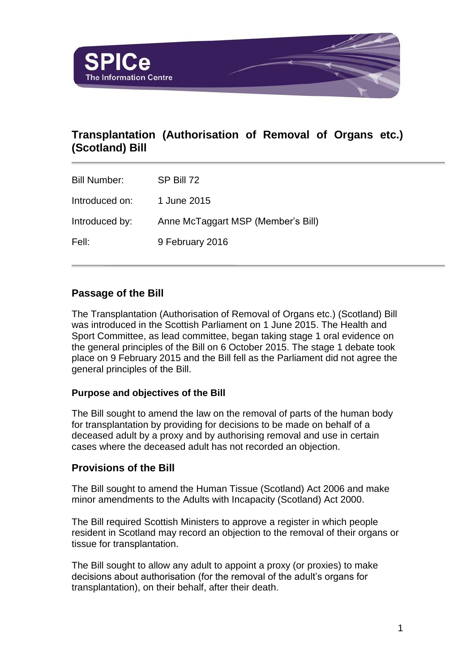

# **Transplantation (Authorisation of Removal of Organs etc.) (Scotland) Bill**

Bill Number: SP Bill 72 Introduced on: 1 June 2015 Introduced by: Anne McTaggart MSP (Member's Bill) Fell: 9 February 2016

## **Passage of the Bill**

The Transplantation (Authorisation of Removal of Organs etc.) (Scotland) Bill was introduced in the Scottish Parliament on 1 June 2015. The Health and Sport Committee, as lead committee, began taking stage 1 oral evidence on the general principles of the Bill on 6 October 2015. The stage 1 debate took place on 9 February 2015 and the Bill fell as the Parliament did not agree the general principles of the Bill.

### **Purpose and objectives of the Bill**

The Bill sought to amend the law on the removal of parts of the human body for transplantation by providing for decisions to be made on behalf of a deceased adult by a proxy and by authorising removal and use in certain cases where the deceased adult has not recorded an objection.

## **Provisions of the Bill**

The Bill sought to amend the Human Tissue (Scotland) Act 2006 and make minor amendments to the Adults with Incapacity (Scotland) Act 2000.

The Bill required Scottish Ministers to approve a register in which people resident in Scotland may record an objection to the removal of their organs or tissue for transplantation.

The Bill sought to allow any adult to appoint a proxy (or proxies) to make decisions about authorisation (for the removal of the adult's organs for transplantation), on their behalf, after their death.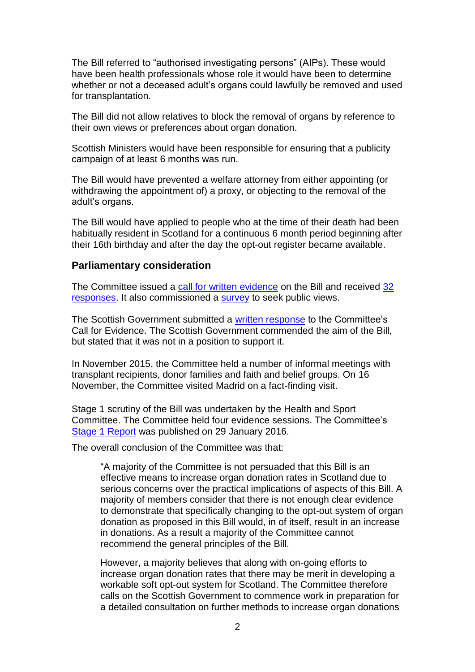The Bill referred to "authorised investigating persons" (AIPs). These would have been health professionals whose role it would have been to determine whether or not a deceased adult's organs could lawfully be removed and used for transplantation.

The Bill did not allow relatives to block the removal of organs by reference to their own views or preferences about organ donation.

Scottish Ministers would have been responsible for ensuring that a publicity campaign of at least 6 months was run.

The Bill would have prevented a welfare attorney from either appointing (or withdrawing the appointment of) a proxy, or objecting to the removal of the adult's organs.

The Bill would have applied to people who at the time of their death had been habitually resident in Scotland for a continuous 6 month period beginning after their 16th birthday and after the day the opt-out register became available.

#### **Parliamentary consideration**

The Committee issued a [call for written evidence](http://www.scottish.parliament.uk/parliamentarybusiness/CurrentCommittees/91948.aspx) on the Bill and received [32](http://www.scottish.parliament.uk/parliamentarybusiness/CurrentCommittees/93069.aspx)  [responses.](http://www.scottish.parliament.uk/parliamentarybusiness/CurrentCommittees/93069.aspx) It also commissioned a [survey](http://www.scottish.parliament.uk/S4_HealthandSportCommittee/Inquiries/SmartSurveyResults.pdf) to seek public views.

The Scottish Government submitted a [written response](http://www.scottish.parliament.uk/S4_HealthandSportCommittee/Inquiries/TRA010-SGov.pdf) to the Committee's Call for Evidence. The Scottish Government commended the aim of the Bill, but stated that it was not in a position to support it.

In November 2015, the Committee held a number of informal meetings with transplant recipients, donor families and faith and belief groups. On 16 November, the Committee visited Madrid on a fact-finding visit.

Stage 1 scrutiny of the Bill was undertaken by the Health and Sport Committee. The Committee held four evidence sessions. The Committee's [Stage 1 Report](http://www.scottish.parliament.uk/parliamentarybusiness/CurrentCommittees/96184.aspx) was published on 29 January 2016.

The overall conclusion of the Committee was that:

"A majority of the Committee is not persuaded that this Bill is an effective means to increase organ donation rates in Scotland due to serious concerns over the practical implications of aspects of this Bill. A majority of members consider that there is not enough clear evidence to demonstrate that specifically changing to the opt-out system of organ donation as proposed in this Bill would, in of itself, result in an increase in donations. As a result a majority of the Committee cannot recommend the general principles of the Bill.

However, a majority believes that along with on-going efforts to increase organ donation rates that there may be merit in developing a workable soft opt-out system for Scotland. The Committee therefore calls on the Scottish Government to commence work in preparation for a detailed consultation on further methods to increase organ donations